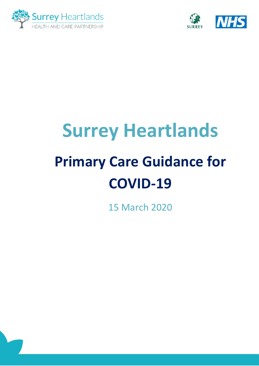



# **Surrey Heartlands Primary Care Guidance for COVID-19**

15 March 2020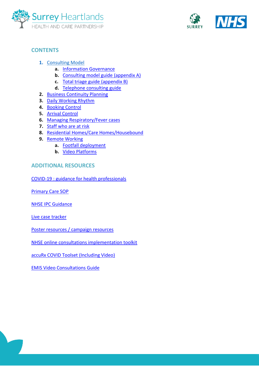



# **CONTENTS**

- <span id="page-1-0"></span>**1.** [Consulting Model](#page-2-0)
	- **a.** [Information Governance](#page-2-1)
	- **b.** [Consulting model guide](#page-6-0) (appendix A)
	- **c.** [Total triage guide](#page-9-0) (appendix B)
	- **d.** [Telephone consulting guide](#page-11-0)
- **2.** [Business Continuity Planning](#page-2-2)
- **3.** [Daily Working Rhythm](#page-3-0)
- **4.** [Booking Control](#page-3-1)
- **5.** [Arrival Control](#page-4-0)
- **6.** [Managing Respiratory/Fever cases](#page-4-1)
- **7.** [Staff who are at risk](#page-4-2)
- **8.** [Residential Homes/Care Homes/Housebound](#page-4-3)
- **9.** [Remote Working](#page-5-0)
	- **a.** [Footfall deployment](#page-6-0)
	- **b.** [Video Platforms](#page-5-1)

# **ADDITIONAL RESOURCES**

[COVID-19 : guidance for health professionals](https://www.gov.uk/government/collections/wuhan-novel-coronavirus)

[Primary Care SOP](https://www.england.nhs.uk/publication/coronavirus-standard-operating-procedures-for-primary-care-settings/) 

[NHSE IPC Guidance](https://www.gov.uk/government/publications/wuhan-novel-coronavirus-infection-prevention-and-control)

[Live case tracker](https://www.arcgis.com/apps/opsdashboard/index.html#/f94c3c90da5b4e9f9a0b19484dd4bb14)

[Poster resources / campaign resources](https://campaignresources.phe.gov.uk/resources/campaigns/101-coronavirus-/resources)

[NHSE online consultations implementation toolkit](https://www.england.nhs.uk/gp/digital-first-primary-care/resources/)

[accuRx COVID Toolset \(Including Video\)](https://www.accurx.com/covid-19)

[EMIS Video Consultations Guide](https://www.emisnow.com/csm?id=kb_article&sys_id=726225291b6f84106281fcc1cd4bcb9b&spa=1#vcc19)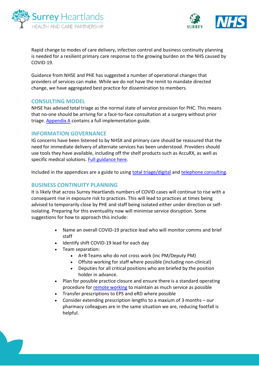



Rapid change to modes of care delivery, infection control and business continuity planning is needed for a resilient primary care response to the growing burden on the NHS caused by COVID-19.

Guidance from NHSE and PHE has suggested a number of operational changes that providers of services can make. While we do not have the remit to mandate directed change, we have aggregated best practice for dissemination to members.

#### <span id="page-2-0"></span>**CONSULTING MODEL**

NHSE has advised total triage as the normal state of service provision for PHC. This means that no-one should be arriving for a face-to-face consultation at a surgery without prior triage. **Appendix A** contains a full implementation guide.

#### <span id="page-2-1"></span>**INFORMATION GOVERNANCE**

IG concerns have been listened to by NHSX and primary care should be reassured that the need for immediate delivery of alternate services has been understood. Providers should use tools they have available, including off the shelf products such as AccuRX, as well as specific medical solutions. [Full guidance here.](https://www.nhsx.nhs.uk/key-information-and-tools/information-governance-guidance)

Included in the appendices are a guide to using [total triage/digital](#page-9-0) and [telephone consulting.](#page-11-0)

#### <span id="page-2-2"></span>**BUSINESS CONTINUITY PLANNING**

It is likely that across Surrey Heartlands numbers of COVID cases will continue to rise with a consequent rise in exposure risk to practices. This will lead to practices at times being advised to temporarily close by PHE and staff being isolated either under direction or selfisolating. Preparing for this eventuality now will minimise service disruption. Some suggestions for how to approach this include:

- Name an overall COVID-19 practice lead who will monitor comms and brief staff
- Identify shift COVID-19 lead for each day
- Team separation:
	- A+B Teams who do not cross work (inc PM/Deputy PM)
	- Offsite working for staff where possible (including non-clinical)
	- Deputies for all critical positions who are briefed by the position holder in advance.
- Plan for possible practice closure and ensure there is a standard operating procedure for [remote working](#page-5-0) to maintain as much service as possible
- Transfer prescriptions to EPS and eRD where possible
- Consider extending prescription lengths to a maxium of 3 months our pharmacy colleagues are in the same situation we are, reducing footfall is helpful.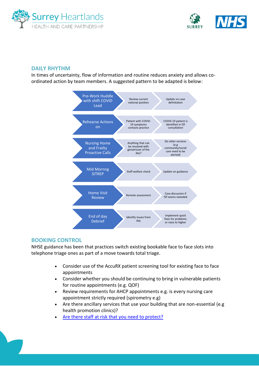



# <span id="page-3-1"></span><span id="page-3-0"></span>**DAILY RHYTHM**

In times of uncertainty, flow of information and routine reduces anxiety and allows coordinated action by team members. A suggested pattern to be adapted is below:



# **BOOKING CONTROL**

NHSE guidance has been that practices switch existing bookable face to face slots into telephone triage ones as part of a move towards total triage.

- Consider use of the AccuRX patient screening tool for existing face to face appointments
- Consider whether you should be continuing to bring in vulnerable patients for routine appointments (e.g. QOF)
- Review requirements for AHCP appointments e.g. is every nursing care appointment strictly required (spirometry e.g)
- Are there ancillary services that use your building that are non-essential (e.g health promotion clinics)?
- [Are there staff at risk that you need to protect?](#page-4-2)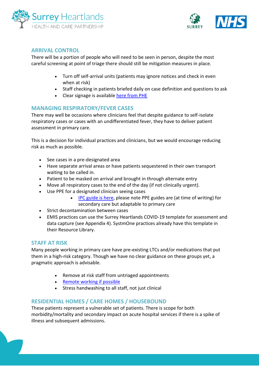



# <span id="page-4-0"></span>**ARRIVAL CONTROL**

There will be a portion of people who will need to be seen in person, despite the most careful screening at point of triage there should still be mitigation measures in place.

- Turn off self-arrival units (patients may ignore notices and check in even when at risk)
- Staff checking in patients briefed daily on case definition and questions to ask
- Clear signage is available [here from PHE](https://campaignresources.phe.gov.uk/resources/campaigns/101-coronavirus-/resources)

# <span id="page-4-1"></span>**MANAGING RESPIRATORY/FEVER CASES**

There may well be occasions where clinicians feel that despite guidance to self-isolate respiratory cases or cases with an undifferentiated fever, they have to deliver patient assessment in primary care.

This is a decision for individual practices and clinicians, but we would encourage reducing risk as much as possible.

- See cases in a pre-designated area
- Have separate arrival areas or have patients sequestered in their own transport waiting to be called in.
- Patient to be masked on arrival and brought in through alternate entry
- Move all respiratory cases to the end of the day (if not clinically urgent).
- Use PPE for a designated clinician seeing cases
	- [IPC guide is here,](https://www.gov.uk/government/publications/wuhan-novel-coronavirus-infection-prevention-and-control) please note PPE guides are (at time of writing) for secondary care but adaptable to primary care
- Strict decontamination between cases
- EMIS practices can use the Surrey Heartlands COVID-19 template for assessment and data capture (see Appendix 4). SystmOne practices already have this template in their Resource Library.

# <span id="page-4-2"></span>**STAFF AT RISK**

Many people working in primary care have pre-existing LTCs and/or medications that put them in a high-risk category. Though we have no clear guidance on these groups yet, a pragmatic approach is advisable.

- Remove at risk staff from untriaged appointments
- [Remote working if possible](#page-5-0)
- Stress handwashing to all staff, not just clinical

# <span id="page-4-3"></span>**RESIDENTIAL HOMES / CARE HOMES / HOUSEBOUND**

These patients represent a vulnerable set of patients. There is scope for both morbidity/mortality and secondary impact on acute hospital services if there is a spike of illness and subsequent admissions.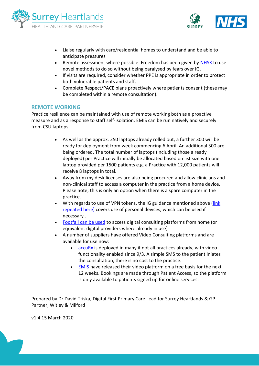



- Liaise regularly with care/residential homes to understand and be able to anticipate pressures
- Remote assessment where possible. Freedom has been given by [NHSX](#page-2-1) to use novel methods to do so without being paralysed by fears over IG.
- If visits are required, consider whether PPE is appropriate in order to protect both vulnerable patients and staff.
- Complete Respect/PACE plans proactively where patients consent (these may be completed within a remote consultation).

#### <span id="page-5-0"></span>**REMOTE WORKING**

Practice resilience can be maintained with use of remote working both as a proactive measure and as a response to staff self-isolation. EMIS can be run natively and securely from CSU laptops.

- As well as the approx. 250 laptops already rolled out, a further 300 will be ready for deployment from week commencing 6 April. An additional 300 are being ordered. The total number of laptops (including those already deployed) per Practice will initially be allocated based on list size with one laptop provided per 1500 patients e.g. a Practice with 12,000 patients will receive 8 laptops in total.
- Away from my desk licenses are also being procured and allow clinicians and non-clinical staff to access a computer in the practice from a home device. Please note; this is only an option when there is a spare computer in the practice.
- With regards to use of VPN tokens, the IG guidance mentioned above (link [repeated here\)](https://www.nhsx.nhs.uk/key-information-and-tools/information-governance-guidance) covers use of personal devices, which can be used if necessary .
- [Footfall can be used](#page-1-0) to access digital consulting platforms from home (or equivalent digital providers where already in use)
- <span id="page-5-1"></span>• A number of suppliers have offered Video Consulting platforms and are available for use now:
	- [accuRx](https://www.accurx.com/covid-19) is deployed in many if not all practices already, with video functionality enabled since 9/3. A simple SMS to the patient iniates the consultation, there is no cost to the practice.
	- [EMIS](https://www.emisnow.com/csm?id=kb_article&sys_id=726225291b6f84106281fcc1cd4bcb9b&spa=1#vcc19) have released their video platform on a free basis for the next 12 weeks. Bookings are made through Patient Access, so the platform is only available to patients signed up for online services.

Prepared by Dr David Triska, Digital First Primary Care Lead for Surrey Heartlands & GP Partner, Witley & Milford

v1.4 15 March 2020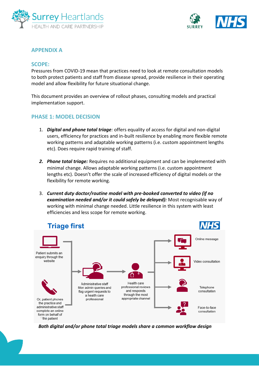



# **APPENDIX A**

#### <span id="page-6-0"></span>**SCOPE:**

Pressures from COVID-19 mean that practices need to look at remote consultation models to both protect patients and staff from disease spread, provide resilience in their operating model and allow flexibility for future situational change.

This document provides an overview of rollout phases, consulting models and practical implementation support.

# **PHASE 1: MODEL DECISION**

- 1. *Digital and phone total triage:* offers equality of access for digital and non-digital users, efficiency for practices and in-built resilience by enabling more flexible remote working patterns and adaptable working patterns (i.e. custom appointment lengths etc). Does require rapid training of staff.
- *2. Phone total triage:* Requires no additional equipment and can be implemented with minimal change. Allows adaptable working patterns (i.e. custom appointment lengths etc). Doesn't offer the scale of increased efficiency of digital models or the flexibility for remote working.
- 3. *Current duty doctor/routine model with pre-booked converted to video (if no examination needed and/or it could safely be delayed):* Most recognisable way of working with minimal change needed. Little resilience in this system with least efficiencies and less scope for remote working.



 *Both digital and/or phone total triage models share a common workflow design*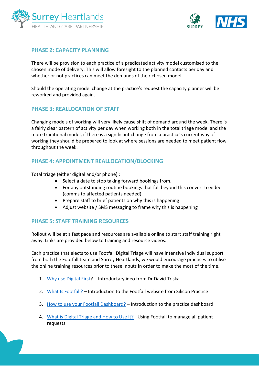



# **PHASE 2: CAPACITY PLANNING**

There will be provision to each practice of a predicated activity model customised to the chosen mode of delivery. This will allow foresight to the planned contacts per day and whether or not practices can meet the demands of their chosen model.

Should the operating model change at the practice's request the capacity planner will be reworked and provided again.

# **PHASE 3: REALLOCATION OF STAFF**

Changing models of working will very likely cause shift of demand around the week. There is a fairly clear pattern of activity per day when working both in the total triage model and the more traditional model, if there is a significant change from a practice's current way of working they should be prepared to look at where sessions are needed to meet patient flow throughout the week.

# **PHASE 4: APPOINTMENT REALLOCATION/BLOCKING**

Total triage (either digital and/or phone) :

- Select a date to stop taking forward bookings from.
- For any outstanding routine bookings that fall beyond this convert to video (comms to affected patients needed)
- Prepare staff to brief patients on why this is happening
- Adjust website / SMS messaging to frame why this is happening

# **PHASE 5: STAFF TRAINING RESOURCES**

Rollout will be at a fast pace and resources are available online to start staff training right away. Links are provided below to training and resource videos.

Each practice that elects to use Footfall Digital Triage will have intensive individual support from both the Footfall team and Surrey Heartlands; we would encourage practices to utilise the online training resources prior to these inputs in order to make the most of the time.

- 1. [Why use Digital First?](https://www.dropbox.com/s/img578vlmtlw89z/Surrey%20Heartlands%20-Logov2.mp4?dl=0) Introductary ideo from Dr David Triska
- 2. [What Is Footfall?](https://youtu.be/IJC5K0q88Lw) Introduction to the Footfall website from Silicon Practice
- 3. [How to use your Footfall Dashboard?](https://www.youtube.com/watch?v=S6t_wk3B2Ow&feature=youtu.be) Introduction to the practice dashboard
- 4. [What is Digital Triage and How to Use It?](https://www.youtube.com/watch?v=Po0Nynn3I08&feature=youtu.be) Using Footfall to manage all patient requests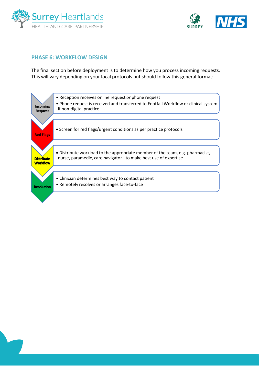



# **PHASE 6: WORKFLOW DESIGN**

The final section before deployment is to determine how you process incoming requests. This will vary depending on your local protocols but should follow this general format:

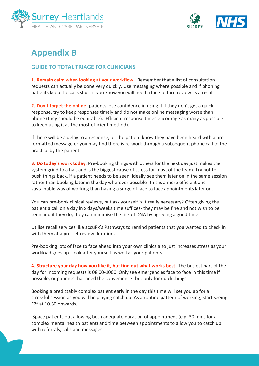



# **Appendix B**

# <span id="page-9-0"></span>**GUIDE TO TOTAL TRIAGE FOR CLINICIANS**

**1. Remain calm when looking at your workflow.** Remember that a list of consultation requests can actually be done very quickly. Use messaging where possible and if phoning patients keep the calls short if you know you will need a face to face review as a result.

**2. Don't forget the online**- patients lose confidence in using it if they don't get a quick response, try to keep responses timely and do not make online messaging worse than phone (they should be equitable). Efficient response times encourage as many as possible to keep using it as the most efficient method).

If there will be a delay to a response, let the patient know they have been heard with a preformatted message or you may find there is re-work through a subsequent phone call to the practice by the patient.

**3. Do today's work today.** Pre-booking things with others for the next day just makes the system grind to a halt and is the biggest cause of stress for most of the team. Try not to push things back, if a patient needs to be seen, ideally see them later on in the same session rather than booking later in the day wherever possible- this is a more efficient and sustainable way of working than having a surge of face to face appointments later on.

You can pre-book clinical reviews, but ask yourself is it really necessary? Often giving the patient a call on a day in x days/weeks time suffices- they may be fine and not wish to be seen and if they do, they can minimise the risk of DNA by agreeing a good time.

Utilise recall services like accuRx's Pathways to remind patients that you wanted to check in with them at a pre-set review duration.

Pre-booking lots of face to face ahead into your own clinics also just increases stress as your workload goes up. Look after yourself as well as your patients.

**4. Structure your day how you like it, but find out what works best.** The busiest part of the day for incoming requests is 08.00-1000. Only see emergencies face to face in this time if possible, or patients that need the convenience- but only for quick things.

Booking a predictably complex patient early in the day this time will set you up for a stressful session as you will be playing catch up. As a routine pattern of working, start seeing F2f at 10.30 onwards.

Space patients out allowing both adequate duration of appointment (e.g. 30 mins for a complex mental health patient) and time between appointments to allow you to catch up with referrals, calls and messages.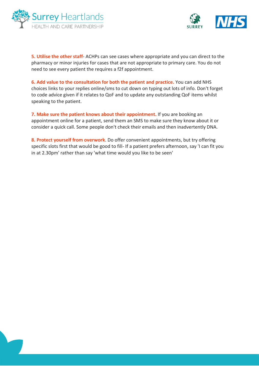



**5. Utilise the other staff**- ACHPs can see cases where appropriate and you can direct to the pharmacy or minor injuries for cases that are not appropriate to primary care. You do not need to see every patient the requires a f2f appointment.

**6. Add value to the consultation for both the patient and practice.** You can add NHS choices links to your replies online/sms to cut down on typing out lots of info. Don't forget to code advice given if it relates to QoF and to update any outstanding QoF items whilst speaking to the patient.

**7. Make sure the patient knows about their appointment.** If you are booking an appointment online for a patient, send them an SMS to make sure they know about it or consider a quick call. Some people don't check their emails and then inadvertently DNA.

**8. Protect yourself from overwork**. Do offer convenient appointments, but try offering specific slots first that would be good to fill- If a patient prefers afternoon, say 'I can fit you in at 2.30pm' rather than say 'what time would you like to be seen'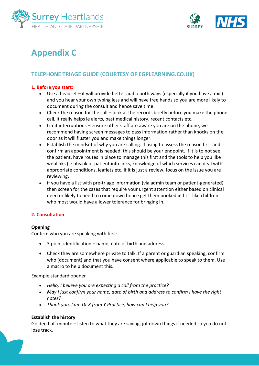



# **Appendix C**

# <span id="page-11-0"></span>**TELEPHONE TRIAGE GUIDE (COURTESY OF EGPLEARNING.CO.UK)**

# **1. Before you start:**

- Use a headset it will provide better audio both ways (especially if you have a mic) and you hear your own typing less and will have free hands so you are more likely to document during the consult and hence save time.
- Check the reason for the call look at the records briefly before you make the phone call, it really helps ie alerts, past medical history, recent contacts etc.
- Limit interruptions ensure other staff are aware you are on the phone, we recommend having screen messages to pass information rather than knocks on the door as it will fluster you and make things longer.
- Establish the mindset of why you are calling. If using to assess the reason first and confirm an appointment is needed, this should be your endpoint. If it is to not see the patient, have routes in place to manage this first and the tools to help you like weblinks (ie nhs.uk or patient.info links, knowledge of which services can deal with appropriate conditions, leaflets etc. If it is just a review, focus on the issue you are reviewing.
- if you have a list with pre-triage information (via admin team or patient-generated) then screen for the cases that require your urgent attention either based on clinical need or likely to need to come down hence get them booked in first like children who most would have a lower tolerance for bringing in.

# **2. Consultation**

#### **Opening**

Confirm who you are speaking with first:

- 3 point identification name, date of birth and address.
- Check they are somewhere private to talk. If a parent or guardian speaking, confirm who (document) and that you have consent where applicable to speak to them. Use a macro to help document this.

Example standard opener

- *Hello, I believe you are expecting a call from the practice?*
- *May I just confirm your name, date of birth and address to confirm I have the right notes?*
- *Thank you, I am Dr X from Y Practice, how can I help you?*

# **Establish the history**

Golden half minute – listen to what they are saying, jot down things if needed so you do not lose track.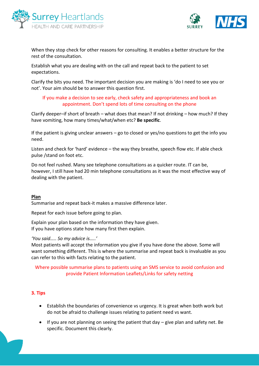



When they stop check for other reasons for consulting. It enables a better structure for the rest of the consultation.

Establish what you are dealing with on the call and repeat back to the patient to set expectations.

Clarify the bits you need. The important decision you are making is 'do I need to see you or not'. Your aim should be to answer this question first.

# If you make a decision to see early, check safety and appropriateness and book an appointment. Don't spend lots of time consulting on the phone

Clarify deeper–if short of breath – what does that mean? If not drinking – how much? If they have vomiting, how many times/what/when etc? **Be specific**.

If the patient is giving unclear answers – go to closed or yes/no questions to get the info you need.

Listen and check for 'hard' evidence – the way they breathe, speech flow etc. If able check pulse /stand on foot etc.

Do not feel rushed. Many see telephone consultations as a quicker route. IT can be, however, I still have had 20 min telephone consultations as it was the most effective way of dealing with the patient.

#### **Plan**

Summarise and repeat back-it makes a massive difference later.

Repeat for each issue before going to plan.

Explain your plan based on the information they have given. If you have options state how many first then explain.

#### *'You said….. So my advice is…..'*

Most patients will accept the information you give if you have done the above. Some will want something different. This is where the summarise and repeat back is invaluable as you can refer to this with facts relating to the patient.

# Where possible summarise plans to patients using an SMS service to avoid confusion and provide Patient Information Leaflets/Links for safety netting

#### **3. Tips**

- Establish the boundaries of convenience vs urgency. It is great when both work but do not be afraid to challenge issues relating to patient need vs want.
- If you are not planning on seeing the patient that day give plan and safety net. Be specific. Document this clearly.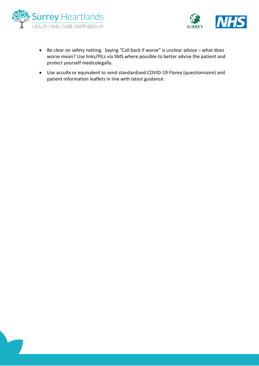



- Be clear on safety netting. Saying "Call back if worse" is unclear advice what does worse mean? Use links/PILs via SMS where possible to better advise the patient and protect yourself medicolegally.
- Use accuRx or equivalent to send standardised COVID-19 Florey (questionnaire) and patient information leaflets in line with latest guidance.